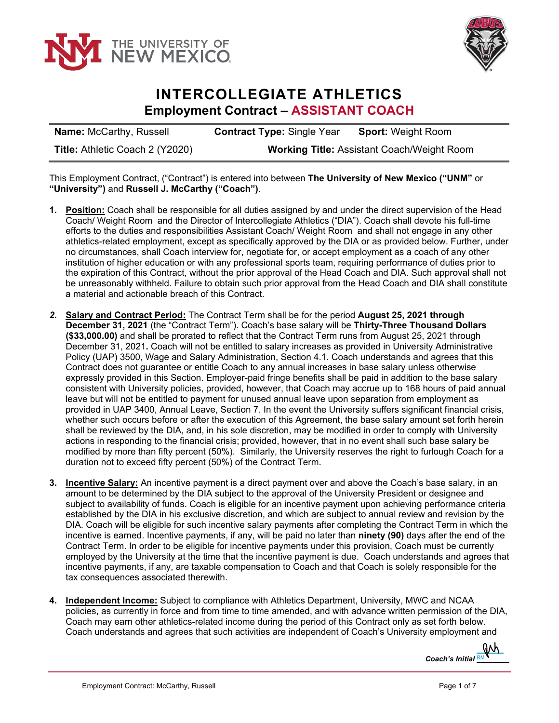



## **INTERCOLLEGIATE ATHLETICS Employment Contract – ASSISTANT COACH**

| <b>Name: McCarthy, Russell</b>         | <b>Contract Type: Single Year</b>                 | <b>Sport: Weight Room</b> |
|----------------------------------------|---------------------------------------------------|---------------------------|
| <b>Title: Athletic Coach 2 (Y2020)</b> | <b>Working Title: Assistant Coach/Weight Room</b> |                           |

This Employment Contract, ("Contract") is entered into between **The University of New Mexico ("UNM"** or **"University")** and **Russell J. McCarthy ("Coach")**.

- **1. Position:** Coach shall be responsible for all duties assigned by and under the direct supervision of the Head Coach/ Weight Room and the Director of Intercollegiate Athletics ("DIA"). Coach shall devote his full-time efforts to the duties and responsibilities Assistant Coach/ Weight Room and shall not engage in any other athletics-related employment, except as specifically approved by the DIA or as provided below. Further, under no circumstances, shall Coach interview for, negotiate for, or accept employment as a coach of any other institution of higher education or with any professional sports team, requiring performance of duties prior to the expiration of this Contract, without the prior approval of the Head Coach and DIA. Such approval shall not be unreasonably withheld. Failure to obtain such prior approval from the Head Coach and DIA shall constitute a material and actionable breach of this Contract.
- *2.* **Salary and Contract Period:** The Contract Term shall be for the period **August 25, 2021 through December 31, 2021** (the "Contract Term"). Coach's base salary will be **Thirty-Three Thousand Dollars (\$33,000.00)** and shall be prorated to reflect that the Contract Term runs from August 25, 2021 through December 31, 2021**.** Coach will not be entitled to salary increases as provided in University Administrative Policy (UAP) 3500, Wage and Salary Administration, Section 4.1. Coach understands and agrees that this Contract does not guarantee or entitle Coach to any annual increases in base salary unless otherwise expressly provided in this Section. Employer-paid fringe benefits shall be paid in addition to the base salary consistent with University policies, provided, however, that Coach may accrue up to 168 hours of paid annual leave but will not be entitled to payment for unused annual leave upon separation from employment as provided in UAP 3400, Annual Leave, Section 7. In the event the University suffers significant financial crisis, whether such occurs before or after the execution of this Agreement, the base salary amount set forth herein shall be reviewed by the DIA, and, in his sole discretion, may be modified in order to comply with University actions in responding to the financial crisis; provided, however, that in no event shall such base salary be modified by more than fifty percent (50%). Similarly, the University reserves the right to furlough Coach for a duration not to exceed fifty percent (50%) of the Contract Term.
- **3. Incentive Salary:** An incentive payment is a direct payment over and above the Coach's base salary, in an amount to be determined by the DIA subject to the approval of the University President or designee and subject to availability of funds. Coach is eligible for an incentive payment upon achieving performance criteria established by the DIA in his exclusive discretion, and which are subject to annual review and revision by the DIA. Coach will be eligible for such incentive salary payments after completing the Contract Term in which the incentive is earned. Incentive payments, if any, will be paid no later than **ninety (90)** days after the end of the Contract Term. In order to be eligible for incentive payments under this provision, Coach must be currently employed by the University at the time that the incentive payment is due. Coach understands and agrees that incentive payments, if any, are taxable compensation to Coach and that Coach is solely responsible for the tax consequences associated therewith.
- **4. Independent Income:** Subject to compliance with Athletics Department, University, MWC and NCAA policies, as currently in force and from time to time amended, and with advance written permission of the DIA, Coach may earn other athletics-related income during the period of this Contract only as set forth below. Coach understands and agrees that such activities are independent of Coach's University employment and

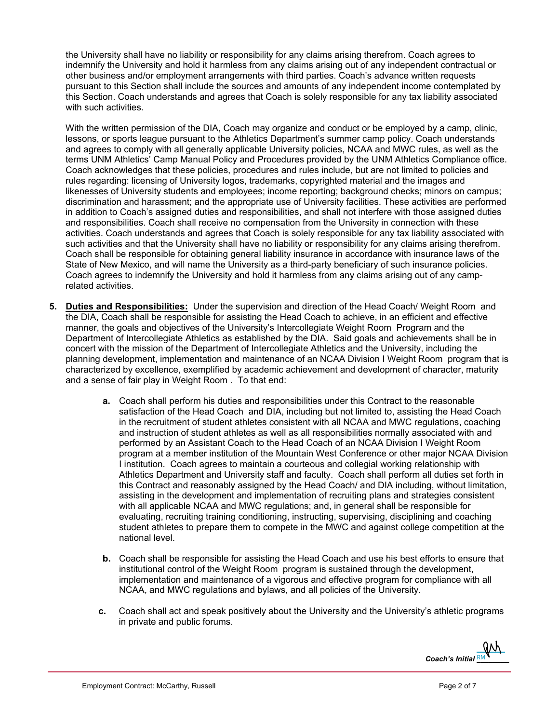the University shall have no liability or responsibility for any claims arising therefrom. Coach agrees to indemnify the University and hold it harmless from any claims arising out of any independent contractual or other business and/or employment arrangements with third parties. Coach's advance written requests pursuant to this Section shall include the sources and amounts of any independent income contemplated by this Section. Coach understands and agrees that Coach is solely responsible for any tax liability associated with such activities.

With the written permission of the DIA, Coach may organize and conduct or be employed by a camp, clinic, lessons, or sports league pursuant to the Athletics Department's summer camp policy. Coach understands and agrees to comply with all generally applicable University policies, NCAA and MWC rules, as well as the terms UNM Athletics' Camp Manual Policy and Procedures provided by the UNM Athletics Compliance office. Coach acknowledges that these policies, procedures and rules include, but are not limited to policies and rules regarding: licensing of University logos, trademarks, copyrighted material and the images and likenesses of University students and employees; income reporting; background checks; minors on campus; discrimination and harassment; and the appropriate use of University facilities. These activities are performed in addition to Coach's assigned duties and responsibilities, and shall not interfere with those assigned duties and responsibilities. Coach shall receive no compensation from the University in connection with these activities. Coach understands and agrees that Coach is solely responsible for any tax liability associated with such activities and that the University shall have no liability or responsibility for any claims arising therefrom. Coach shall be responsible for obtaining general liability insurance in accordance with insurance laws of the State of New Mexico, and will name the University as a third-party beneficiary of such insurance policies. Coach agrees to indemnify the University and hold it harmless from any claims arising out of any camprelated activities.

- **5. Duties and Responsibilities:** Under the supervision and direction of the Head Coach/ Weight Room and the DIA, Coach shall be responsible for assisting the Head Coach to achieve, in an efficient and effective manner, the goals and objectives of the University's Intercollegiate Weight Room Program and the Department of Intercollegiate Athletics as established by the DIA. Said goals and achievements shall be in concert with the mission of the Department of Intercollegiate Athletics and the University, including the planning development, implementation and maintenance of an NCAA Division I Weight Room program that is characterized by excellence, exemplified by academic achievement and development of character, maturity and a sense of fair play in Weight Room . To that end:
	- **a.** Coach shall perform his duties and responsibilities under this Contract to the reasonable satisfaction of the Head Coach and DIA, including but not limited to, assisting the Head Coach in the recruitment of student athletes consistent with all NCAA and MWC regulations, coaching and instruction of student athletes as well as all responsibilities normally associated with and performed by an Assistant Coach to the Head Coach of an NCAA Division I Weight Room program at a member institution of the Mountain West Conference or other major NCAA Division I institution. Coach agrees to maintain a courteous and collegial working relationship with Athletics Department and University staff and faculty. Coach shall perform all duties set forth in this Contract and reasonably assigned by the Head Coach/ and DIA including, without limitation, assisting in the development and implementation of recruiting plans and strategies consistent with all applicable NCAA and MWC regulations; and, in general shall be responsible for evaluating, recruiting training conditioning, instructing, supervising, disciplining and coaching student athletes to prepare them to compete in the MWC and against college competition at the national level.
	- **b.** Coach shall be responsible for assisting the Head Coach and use his best efforts to ensure that institutional control of the Weight Room program is sustained through the development, implementation and maintenance of a vigorous and effective program for compliance with all NCAA, and MWC regulations and bylaws, and all policies of the University.
	- **c.** Coach shall act and speak positively about the University and the University's athletic programs in private and public forums.

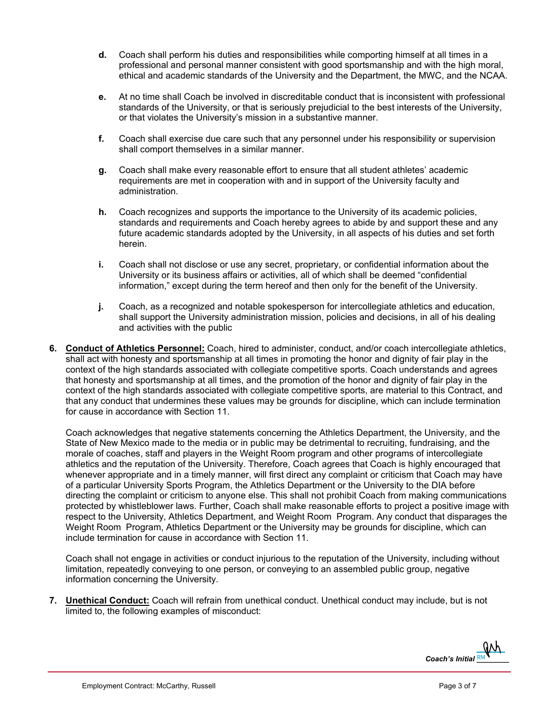- **d.** Coach shall perform his duties and responsibilities while comporting himself at all times in a professional and personal manner consistent with good sportsmanship and with the high moral, ethical and academic standards of the University and the Department, the MWC, and the NCAA.
- **e.** At no time shall Coach be involved in discreditable conduct that is inconsistent with professional standards of the University, or that is seriously prejudicial to the best interests of the University, or that violates the University's mission in a substantive manner.
- **f.** Coach shall exercise due care such that any personnel under his responsibility or supervision shall comport themselves in a similar manner.
- **g.** Coach shall make every reasonable effort to ensure that all student athletes' academic requirements are met in cooperation with and in support of the University faculty and administration.
- **h.** Coach recognizes and supports the importance to the University of its academic policies, standards and requirements and Coach hereby agrees to abide by and support these and any future academic standards adopted by the University, in all aspects of his duties and set forth herein.
- **i.** Coach shall not disclose or use any secret, proprietary, or confidential information about the University or its business affairs or activities, all of which shall be deemed "confidential information," except during the term hereof and then only for the benefit of the University.
- **j.** Coach, as a recognized and notable spokesperson for intercollegiate athletics and education, shall support the University administration mission, policies and decisions, in all of his dealing and activities with the public
- **6. Conduct of Athletics Personnel:** Coach, hired to administer, conduct, and/or coach intercollegiate athletics, shall act with honesty and sportsmanship at all times in promoting the honor and dignity of fair play in the context of the high standards associated with collegiate competitive sports. Coach understands and agrees that honesty and sportsmanship at all times, and the promotion of the honor and dignity of fair play in the context of the high standards associated with collegiate competitive sports, are material to this Contract, and that any conduct that undermines these values may be grounds for discipline, which can include termination for cause in accordance with Section 11.

Coach acknowledges that negative statements concerning the Athletics Department, the University, and the State of New Mexico made to the media or in public may be detrimental to recruiting, fundraising, and the morale of coaches, staff and players in the Weight Room program and other programs of intercollegiate athletics and the reputation of the University. Therefore, Coach agrees that Coach is highly encouraged that whenever appropriate and in a timely manner, will first direct any complaint or criticism that Coach may have of a particular University Sports Program, the Athletics Department or the University to the DIA before directing the complaint or criticism to anyone else. This shall not prohibit Coach from making communications protected by whistleblower laws. Further, Coach shall make reasonable efforts to project a positive image with respect to the University, Athletics Department, and Weight Room Program. Any conduct that disparages the Weight Room Program, Athletics Department or the University may be grounds for discipline, which can include termination for cause in accordance with Section 11.

Coach shall not engage in activities or conduct injurious to the reputation of the University, including without limitation, repeatedly conveying to one person, or conveying to an assembled public group, negative information concerning the University.

**7. Unethical Conduct:** Coach will refrain from unethical conduct. Unethical conduct may include, but is not limited to, the following examples of misconduct:

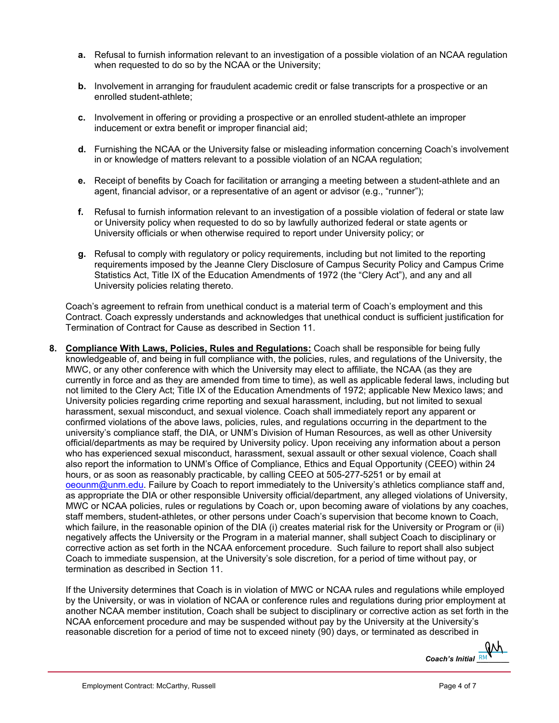- **a.** Refusal to furnish information relevant to an investigation of a possible violation of an NCAA regulation when requested to do so by the NCAA or the University;
- **b.** Involvement in arranging for fraudulent academic credit or false transcripts for a prospective or an enrolled student-athlete;
- **c.** Involvement in offering or providing a prospective or an enrolled student-athlete an improper inducement or extra benefit or improper financial aid;
- **d.** Furnishing the NCAA or the University false or misleading information concerning Coach's involvement in or knowledge of matters relevant to a possible violation of an NCAA regulation;
- **e.** Receipt of benefits by Coach for facilitation or arranging a meeting between a student-athlete and an agent, financial advisor, or a representative of an agent or advisor (e.g., "runner");
- **f.** Refusal to furnish information relevant to an investigation of a possible violation of federal or state law or University policy when requested to do so by lawfully authorized federal or state agents or University officials or when otherwise required to report under University policy; or
- **g.** Refusal to comply with regulatory or policy requirements, including but not limited to the reporting requirements imposed by the Jeanne Clery Disclosure of Campus Security Policy and Campus Crime Statistics Act, Title IX of the Education Amendments of 1972 (the "Clery Act"), and any and all University policies relating thereto.

Coach's agreement to refrain from unethical conduct is a material term of Coach's employment and this Contract. Coach expressly understands and acknowledges that unethical conduct is sufficient justification for Termination of Contract for Cause as described in Section 11.

**8. Compliance With Laws, Policies, Rules and Regulations:** Coach shall be responsible for being fully knowledgeable of, and being in full compliance with, the policies, rules, and regulations of the University, the MWC, or any other conference with which the University may elect to affiliate, the NCAA (as they are currently in force and as they are amended from time to time), as well as applicable federal laws, including but not limited to the Clery Act; Title IX of the Education Amendments of 1972; applicable New Mexico laws; and University policies regarding crime reporting and sexual harassment, including, but not limited to sexual harassment, sexual misconduct, and sexual violence. Coach shall immediately report any apparent or confirmed violations of the above laws, policies, rules, and regulations occurring in the department to the university's compliance staff, the DIA, or UNM's Division of Human Resources, as well as other University official/departments as may be required by University policy. Upon receiving any information about a person who has experienced sexual misconduct, harassment, sexual assault or other sexual violence, Coach shall also report the information to UNM's Office of Compliance, Ethics and Equal Opportunity (CEEO) within 24 hours, or as soon as reasonably practicable, by calling CEEO at 505-277-5251 or by email at [oeounm@unm.edu.](mailto:oeounm@unm.edu) Failure by Coach to report immediately to the University's athletics compliance staff and, as appropriate the DIA or other responsible University official/department, any alleged violations of University, MWC or NCAA policies, rules or regulations by Coach or, upon becoming aware of violations by any coaches, staff members, student-athletes, or other persons under Coach's supervision that become known to Coach, which failure, in the reasonable opinion of the DIA (i) creates material risk for the University or Program or (ii) negatively affects the University or the Program in a material manner, shall subject Coach to disciplinary or corrective action as set forth in the NCAA enforcement procedure. Such failure to report shall also subject Coach to immediate suspension, at the University's sole discretion, for a period of time without pay, or termination as described in Section 11.

If the University determines that Coach is in violation of MWC or NCAA rules and regulations while employed by the University, or was in violation of NCAA or conference rules and regulations during prior employment at another NCAA member institution, Coach shall be subject to disciplinary or corrective action as set forth in the NCAA enforcement procedure and may be suspended without pay by the University at the University's reasonable discretion for a period of time not to exceed ninety (90) days, or terminated as described in

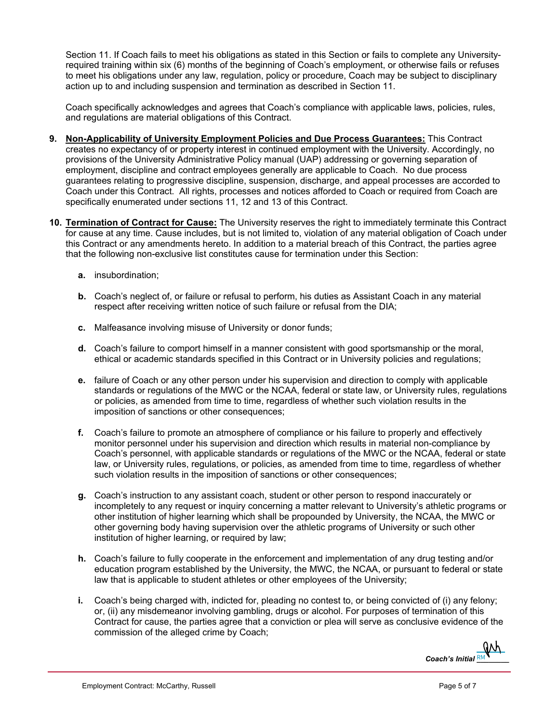Section 11. If Coach fails to meet his obligations as stated in this Section or fails to complete any Universityrequired training within six (6) months of the beginning of Coach's employment, or otherwise fails or refuses to meet his obligations under any law, regulation, policy or procedure, Coach may be subject to disciplinary action up to and including suspension and termination as described in Section 11.

Coach specifically acknowledges and agrees that Coach's compliance with applicable laws, policies, rules, and regulations are material obligations of this Contract.

- **9. Non-Applicability of University Employment Policies and Due Process Guarantees:** This Contract creates no expectancy of or property interest in continued employment with the University. Accordingly, no provisions of the University Administrative Policy manual (UAP) addressing or governing separation of employment, discipline and contract employees generally are applicable to Coach. No due process guarantees relating to progressive discipline, suspension, discharge, and appeal processes are accorded to Coach under this Contract. All rights, processes and notices afforded to Coach or required from Coach are specifically enumerated under sections 11, 12 and 13 of this Contract.
- **10. Termination of Contract for Cause:** The University reserves the right to immediately terminate this Contract for cause at any time. Cause includes, but is not limited to, violation of any material obligation of Coach under this Contract or any amendments hereto. In addition to a material breach of this Contract, the parties agree that the following non-exclusive list constitutes cause for termination under this Section:
	- **a.** insubordination;
	- **b.** Coach's neglect of, or failure or refusal to perform, his duties as Assistant Coach in any material respect after receiving written notice of such failure or refusal from the DIA;
	- **c.** Malfeasance involving misuse of University or donor funds;
	- **d.** Coach's failure to comport himself in a manner consistent with good sportsmanship or the moral, ethical or academic standards specified in this Contract or in University policies and regulations;
	- **e.** failure of Coach or any other person under his supervision and direction to comply with applicable standards or regulations of the MWC or the NCAA, federal or state law, or University rules, regulations or policies, as amended from time to time, regardless of whether such violation results in the imposition of sanctions or other consequences;
	- **f.** Coach's failure to promote an atmosphere of compliance or his failure to properly and effectively monitor personnel under his supervision and direction which results in material non-compliance by Coach's personnel, with applicable standards or regulations of the MWC or the NCAA, federal or state law, or University rules, regulations, or policies, as amended from time to time, regardless of whether such violation results in the imposition of sanctions or other consequences;
	- **g.** Coach's instruction to any assistant coach, student or other person to respond inaccurately or incompletely to any request or inquiry concerning a matter relevant to University's athletic programs or other institution of higher learning which shall be propounded by University, the NCAA, the MWC or other governing body having supervision over the athletic programs of University or such other institution of higher learning, or required by law;
	- **h.** Coach's failure to fully cooperate in the enforcement and implementation of any drug testing and/or education program established by the University, the MWC, the NCAA, or pursuant to federal or state law that is applicable to student athletes or other employees of the University;
	- **i.** Coach's being charged with, indicted for, pleading no contest to, or being convicted of (i) any felony; or, (ii) any misdemeanor involving gambling, drugs or alcohol. For purposes of termination of this Contract for cause, the parties agree that a conviction or plea will serve as conclusive evidence of the commission of the alleged crime by Coach;

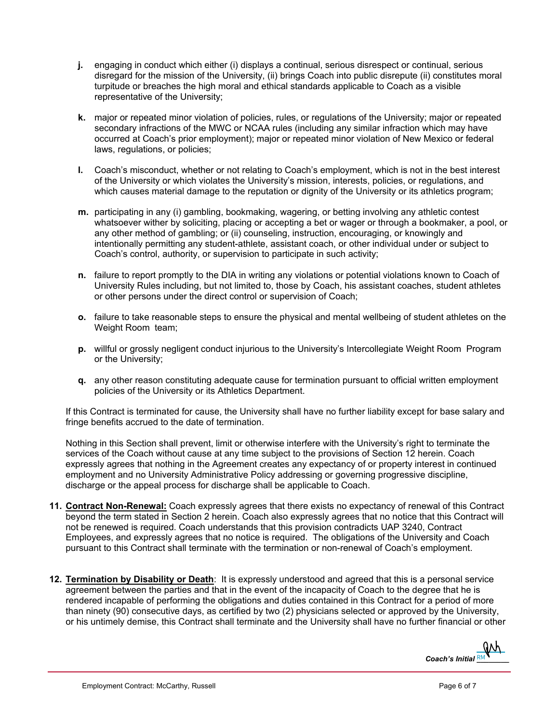- **j.** engaging in conduct which either (i) displays a continual, serious disrespect or continual, serious disregard for the mission of the University, (ii) brings Coach into public disrepute (ii) constitutes moral turpitude or breaches the high moral and ethical standards applicable to Coach as a visible representative of the University;
- **k.** major or repeated minor violation of policies, rules, or regulations of the University; major or repeated secondary infractions of the MWC or NCAA rules (including any similar infraction which may have occurred at Coach's prior employment); major or repeated minor violation of New Mexico or federal laws, regulations, or policies;
- **l.** Coach's misconduct, whether or not relating to Coach's employment, which is not in the best interest of the University or which violates the University's mission, interests, policies, or regulations, and which causes material damage to the reputation or dignity of the University or its athletics program;
- **m.** participating in any (i) gambling, bookmaking, wagering, or betting involving any athletic contest whatsoever wither by soliciting, placing or accepting a bet or wager or through a bookmaker, a pool, or any other method of gambling; or (ii) counseling, instruction, encouraging, or knowingly and intentionally permitting any student-athlete, assistant coach, or other individual under or subject to Coach's control, authority, or supervision to participate in such activity;
- **n.** failure to report promptly to the DIA in writing any violations or potential violations known to Coach of University Rules including, but not limited to, those by Coach, his assistant coaches, student athletes or other persons under the direct control or supervision of Coach;
- **o.** failure to take reasonable steps to ensure the physical and mental wellbeing of student athletes on the Weight Room team;
- **p.** willful or grossly negligent conduct injurious to the University's Intercollegiate Weight Room Program or the University;
- **q.** any other reason constituting adequate cause for termination pursuant to official written employment policies of the University or its Athletics Department.

If this Contract is terminated for cause, the University shall have no further liability except for base salary and fringe benefits accrued to the date of termination.

Nothing in this Section shall prevent, limit or otherwise interfere with the University's right to terminate the services of the Coach without cause at any time subject to the provisions of Section 12 herein. Coach expressly agrees that nothing in the Agreement creates any expectancy of or property interest in continued employment and no University Administrative Policy addressing or governing progressive discipline, discharge or the appeal process for discharge shall be applicable to Coach.

- **11. Contract Non-Renewal:** Coach expressly agrees that there exists no expectancy of renewal of this Contract beyond the term stated in Section 2 herein. Coach also expressly agrees that no notice that this Contract will not be renewed is required. Coach understands that this provision contradicts UAP 3240, Contract Employees, and expressly agrees that no notice is required. The obligations of the University and Coach pursuant to this Contract shall terminate with the termination or non-renewal of Coach's employment.
- **12. Termination by Disability or Death**: It is expressly understood and agreed that this is a personal service agreement between the parties and that in the event of the incapacity of Coach to the degree that he is rendered incapable of performing the obligations and duties contained in this Contract for a period of more than ninety (90) consecutive days, as certified by two (2) physicians selected or approved by the University, or his untimely demise, this Contract shall terminate and the University shall have no further financial or other